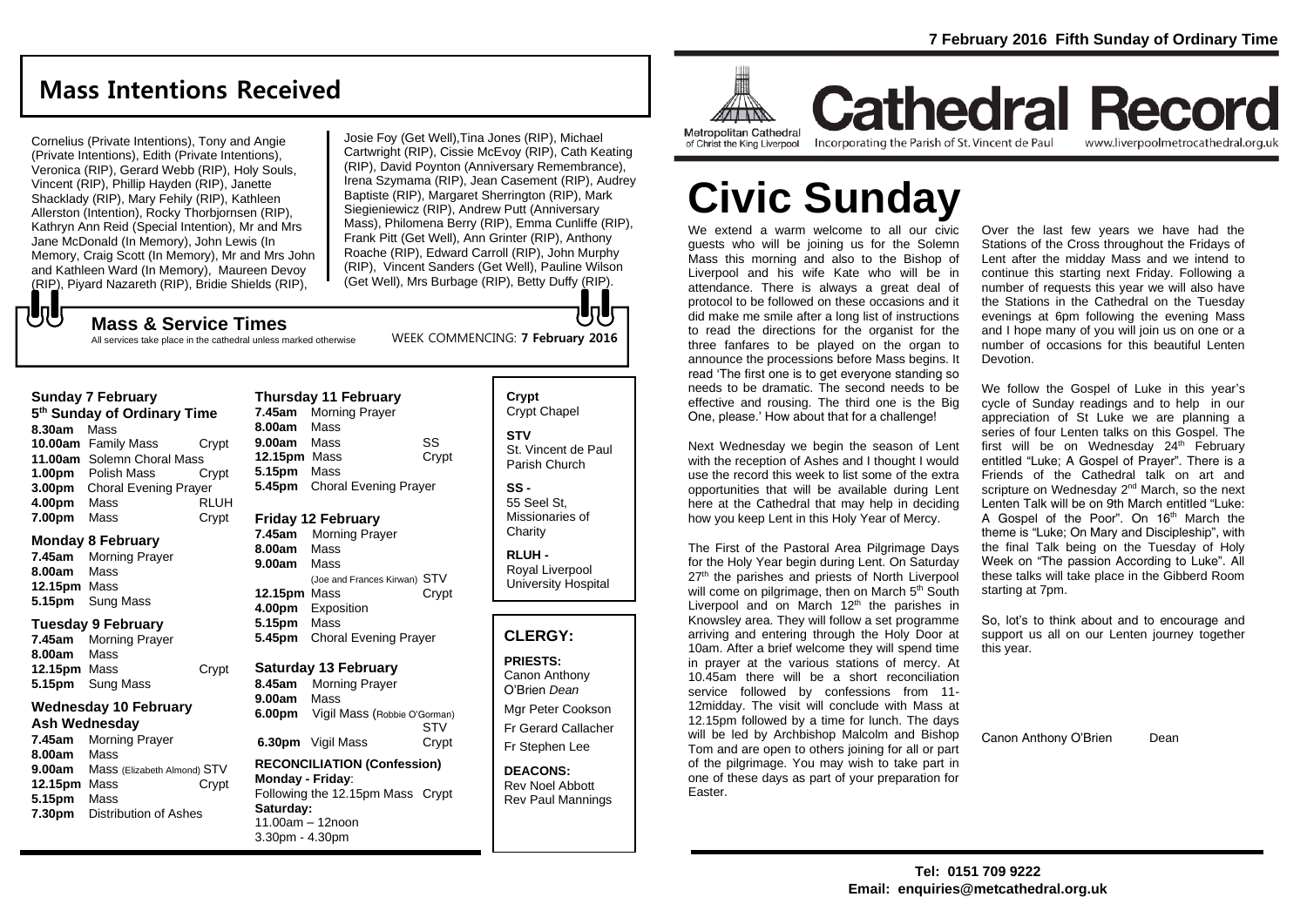# **Mass Intentions Received**

Cornelius (Private Intentions), Tony and Angie (Private Intentions), Edith (Private Intentions), Veronica (RIP), Gerard Webb (RIP), Holy Souls, Vincent (RIP), Phillip Hayden (RIP), Janette Shacklady (RIP), Mary Fehily (RIP), Kathleen Allerston (Intention), Rocky Thorbjornsen (RIP), Kathryn Ann Reid (Special Intention), Mr and Mrs Jane McDonald (In Memory), John Lewis (In Memory, Craig Scott (In Memory), Mr and Mrs John and Kathleen Ward (In Memory), Maureen Devoy (RIP), Piyard Nazareth (RIP), Bridie Shields (RIP),

Josie Foy (Get Well),Tina Jones (RIP), Michael Cartwright (RIP), Cissie McEvoy (RIP), Cath Keating (RIP), David Poynton (Anniversary Remembrance), Irena Szymama (RIP), Jean Casement (RIP), Audrey Baptiste (RIP), Margaret Sherrington (RIP), Mark Siegieniewicz (RIP), Andrew Putt (Anniversary Mass), Philomena Berry (RIP), Emma Cunliffe (RIP), Frank Pitt (Get Well), Ann Grinter (RIP), Anthony Roache (RIP), Edward Carroll (RIP), John Murphy (RIP), Vincent Sanders (Get Well), Pauline Wilson (Get Well), Mrs Burbage (RIP), Betty Duffy (RIP).

WEEK COMMENCING: **7 February 2016**

#### もし **Mass & Service Times**

All services take place in the cathedral unless marked otherwise

### **Thursday 11 February**

**5 th Sunday of Ordinary Time 8.30am** Mass **10.00am** Family Mass Crypt **11.00am** Solemn Choral Mass **1.00pm** Polish Mass Crypt **3.00pm** Choral Evening Prayer **4.00pm** Mass RLUH **7.00pm** Mass Crypt

### **Monday 8 February**

**Sunday 7 February**

**7.45am** Morning Prayer **8.00am** Mass **12.15pm** Mass **5.15pm** Sung Mass

### **Tuesday 9 February**

**7.45am** Morning Prayer **8.00am** Mass **12.15pm** Mass Crypt **5.15pm** Sung Mass

### **Wednesday 10 February**

### **Ash Wednesday**

**7.45am** Morning Prayer **8.00am** Mass **9.00am** Mass (Elizabeth Almond) STV **12.15pm** Mass Crypt **5.15pm** Mass **7.30pm** Distribution of Ashes

### **7.45am** Morning Prayer **8.00am** Mass **9.00am** Mass SS **12.15pm** Mass Crypt **5.15pm** Mass **5.45pm** Choral Evening Prayer

### **Friday 12 February**

**7.45am** Morning Prayer **8.00am** Mass **9.00am** Mass (Joe and Frances Kirwan) STV **12.15pm** Mass **Crypt 4.00pm** Exposition **5.15pm** Mass **5.45pm** Choral Evening Prayer

### **Saturday 13 February**

**8.45am** Morning Prayer **9.00am** Mass **6.00pm** Vigil Mass (Robbie O'Gorman) STV **6.30pm** Vigil Mass Crypt

### **RECONCILIATION (Confession) Monday - Friday**: Following the 12.15pm Mass Crypt **Saturday:** 11.00am – 12noon 3.30pm - 4.30pm

## **Crypt**  Crypt Chapel

**STV** St. Vincent de Paul Parish Church

**SS -** 55 Seel St, Missionaries of **Charity** 

**RLUH -** Royal Liverpool University Hospital

### **CLERGY:**

**PRIESTS:** Canon Anthony O'Brien *Dean*

Mgr Peter Cookson Fr Gerard Callacher Fr Stephen Lee

**DEACONS:** Rev Noel Abbott Rev Paul Mannings



**Cathedral Record** of Christ the King Liverpool

Incorporating the Parish of St. Vincent de Paul www.liverpoolmetrocathedral.org.uk

# **Civic Sunday**

We extend a warm welcome to all our civic guests who will be joining us for the Solemn Mass this morning and also to the Bishop of Liverpool and his wife Kate who will be in attendance. There is always a great deal of protocol to be followed on these occasions and it did make me smile after a long list of instructions to read the directions for the organist for the three fanfares to be played on the organ to announce the processions before Mass begins. It read 'The first one is to get everyone standing so needs to be dramatic. The second needs to be effective and rousing. The third one is the Big One, please.' How about that for a challenge!

Next Wednesday we begin the season of Lent with the reception of Ashes and I thought I would use the record this week to list some of the extra opportunities that will be available during Lent here at the Cathedral that may help in deciding how you keep Lent in this Holy Year of Mercy.

The First of the Pastoral Area Pilgrimage Days for the Holy Year begin during Lent. On Saturday 27<sup>th</sup> the parishes and priests of North Liverpool will come on pilgrimage, then on March 5<sup>th</sup> South Liverpool and on March  $12<sup>th</sup>$  the parishes in Knowsley area. They will follow a set programme arriving and entering through the Holy Door at 10am. After a brief welcome they will spend time in prayer at the various stations of mercy. At 10.45am there will be a short reconciliation service followed by confessions from 11- 12midday. The visit will conclude with Mass at 12.15pm followed by a time for lunch. The days will be led by Archbishop Malcolm and Bishop Tom and are open to others joining for all or part of the pilgrimage. You may wish to take part in one of these days as part of your preparation for Easter.

Over the last few years we have had the Stations of the Cross throughout the Fridays of Lent after the midday Mass and we intend to continue this starting next Friday. Following a number of requests this year we will also have the Stations in the Cathedral on the Tuesday evenings at 6pm following the evening Mass and I hope many of you will join us on one or a number of occasions for this beautiful Lenten Devotion.

We follow the Gospel of Luke in this year's cycle of Sunday readings and to help in our appreciation of St Luke we are planning a series of four Lenten talks on this Gospel. The first will be on Wednesday  $24<sup>th</sup>$  February entitled "Luke; A Gospel of Prayer". There is a Friends of the Cathedral talk on art and scripture on Wednesday 2<sup>nd</sup> March, so the next Lenten Talk will be on 9th March entitled "Luke: A Gospel of the Poor". On 16<sup>th</sup> March the theme is "Luke; On Mary and Discipleship", with the final Talk being on the Tuesday of Holy Week on "The passion According to Luke". All these talks will take place in the Gibberd Room starting at 7pm.

So, lot's to think about and to encourage and support us all on our Lenten journey together this year.

Canon Anthony O'Brien Dean